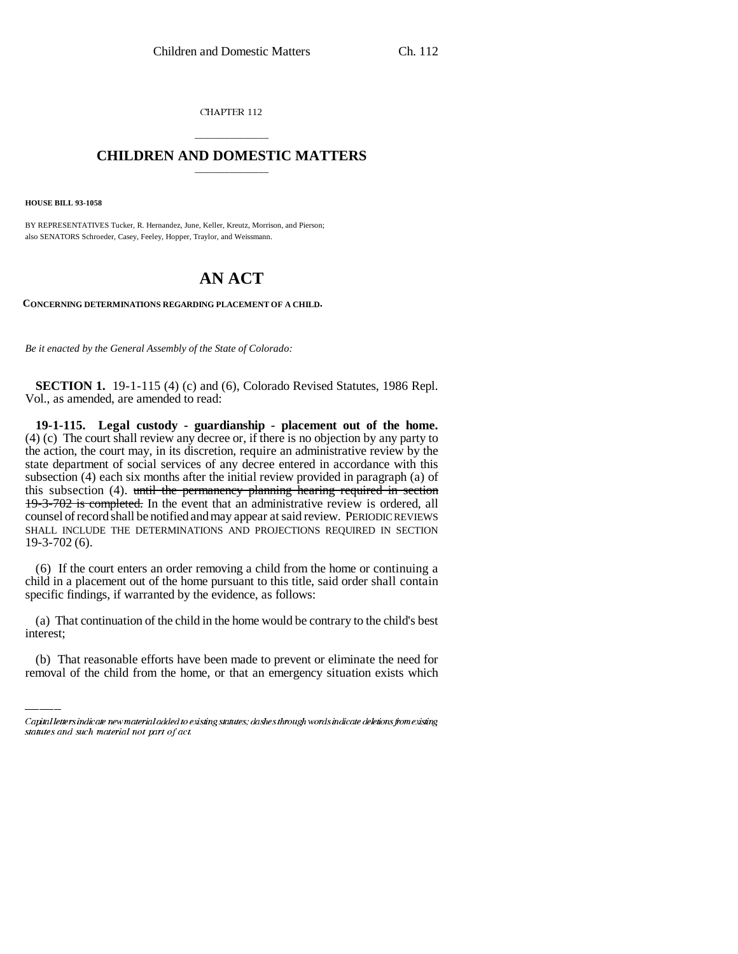CHAPTER 112

## \_\_\_\_\_\_\_\_\_\_\_\_\_\_\_ **CHILDREN AND DOMESTIC MATTERS** \_\_\_\_\_\_\_\_\_\_\_\_\_\_\_

**HOUSE BILL 93-1058**

BY REPRESENTATIVES Tucker, R. Hernandez, June, Keller, Kreutz, Morrison, and Pierson; also SENATORS Schroeder, Casey, Feeley, Hopper, Traylor, and Weissmann.

## **AN ACT**

**CONCERNING DETERMINATIONS REGARDING PLACEMENT OF A CHILD.**

*Be it enacted by the General Assembly of the State of Colorado:*

**SECTION 1.** 19-1-115 (4) (c) and (6), Colorado Revised Statutes, 1986 Repl. Vol., as amended, are amended to read:

**19-1-115. Legal custody - guardianship - placement out of the home.** (4) (c) The court shall review any decree or, if there is no objection by any party to the action, the court may, in its discretion, require an administrative review by the state department of social services of any decree entered in accordance with this subsection (4) each six months after the initial review provided in paragraph (a) of this subsection (4). until the permanency planning hearing required in section 19-3-702 is completed. In the event that an administrative review is ordered, all counsel of record shall be notified and may appear at said review. PERIODIC REVIEWS SHALL INCLUDE THE DETERMINATIONS AND PROJECTIONS REQUIRED IN SECTION 19-3-702 (6).

(6) If the court enters an order removing a child from the home or continuing a child in a placement out of the home pursuant to this title, said order shall contain specific findings, if warranted by the evidence, as follows:

(a) That continuation of the child in the home would be contrary to the child's best interest;

(b) That reasonable efforts have been made to prevent or eliminate the need for removal of the child from the home, or that an emergency situation exists which

Capital letters indicate new material added to existing statutes; dashes through words indicate deletions from existing statutes and such material not part of act.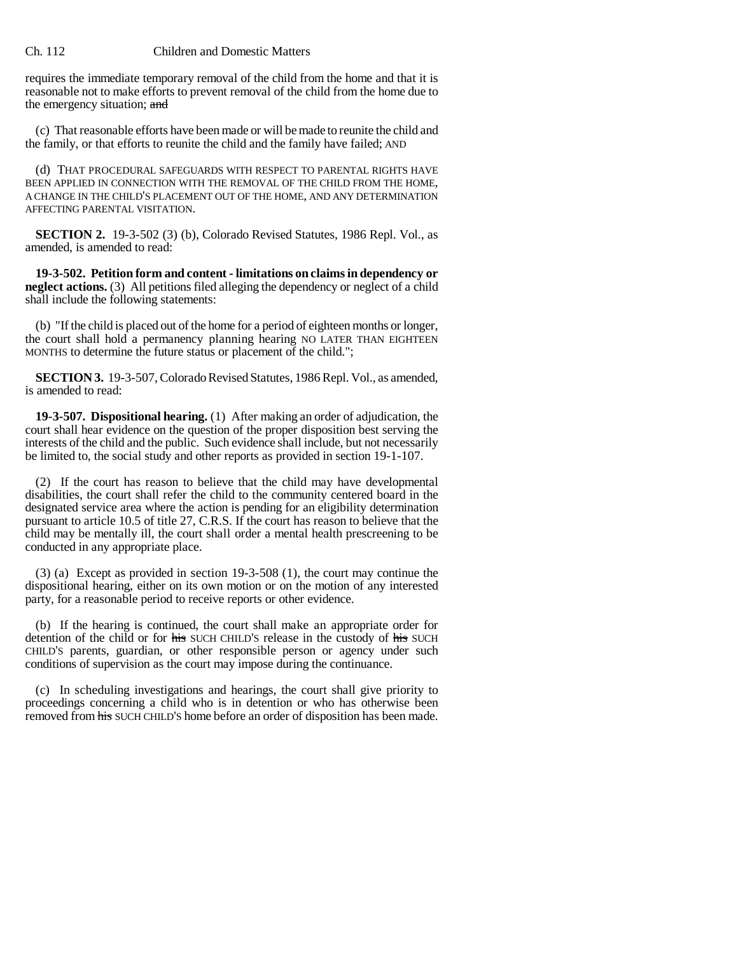## Ch. 112 Children and Domestic Matters

requires the immediate temporary removal of the child from the home and that it is reasonable not to make efforts to prevent removal of the child from the home due to the emergency situation; and

(c) That reasonable efforts have been made or will be made to reunite the child and the family, or that efforts to reunite the child and the family have failed; AND

(d) THAT PROCEDURAL SAFEGUARDS WITH RESPECT TO PARENTAL RIGHTS HAVE BEEN APPLIED IN CONNECTION WITH THE REMOVAL OF THE CHILD FROM THE HOME, A CHANGE IN THE CHILD'S PLACEMENT OUT OF THE HOME, AND ANY DETERMINATION AFFECTING PARENTAL VISITATION.

**SECTION 2.** 19-3-502 (3) (b), Colorado Revised Statutes, 1986 Repl. Vol., as amended, is amended to read:

**19-3-502. Petition form and content - limitations on claims in dependency or neglect actions.** (3) All petitions filed alleging the dependency or neglect of a child shall include the following statements:

(b) "If the child is placed out of the home for a period of eighteen months or longer, the court shall hold a permanency planning hearing NO LATER THAN EIGHTEEN MONTHS to determine the future status or placement of the child.";

**SECTION 3.** 19-3-507, Colorado Revised Statutes, 1986 Repl. Vol., as amended, is amended to read:

**19-3-507. Dispositional hearing.** (1) After making an order of adjudication, the court shall hear evidence on the question of the proper disposition best serving the interests of the child and the public. Such evidence shall include, but not necessarily be limited to, the social study and other reports as provided in section 19-1-107.

(2) If the court has reason to believe that the child may have developmental disabilities, the court shall refer the child to the community centered board in the designated service area where the action is pending for an eligibility determination pursuant to article 10.5 of title 27, C.R.S. If the court has reason to believe that the child may be mentally ill, the court shall order a mental health prescreening to be conducted in any appropriate place.

(3) (a) Except as provided in section 19-3-508 (1), the court may continue the dispositional hearing, either on its own motion or on the motion of any interested party, for a reasonable period to receive reports or other evidence.

(b) If the hearing is continued, the court shall make an appropriate order for detention of the child or for his SUCH CHILD'S release in the custody of his SUCH CHILD'S parents, guardian, or other responsible person or agency under such conditions of supervision as the court may impose during the continuance.

(c) In scheduling investigations and hearings, the court shall give priority to proceedings concerning a child who is in detention or who has otherwise been removed from his SUCH CHILD'S home before an order of disposition has been made.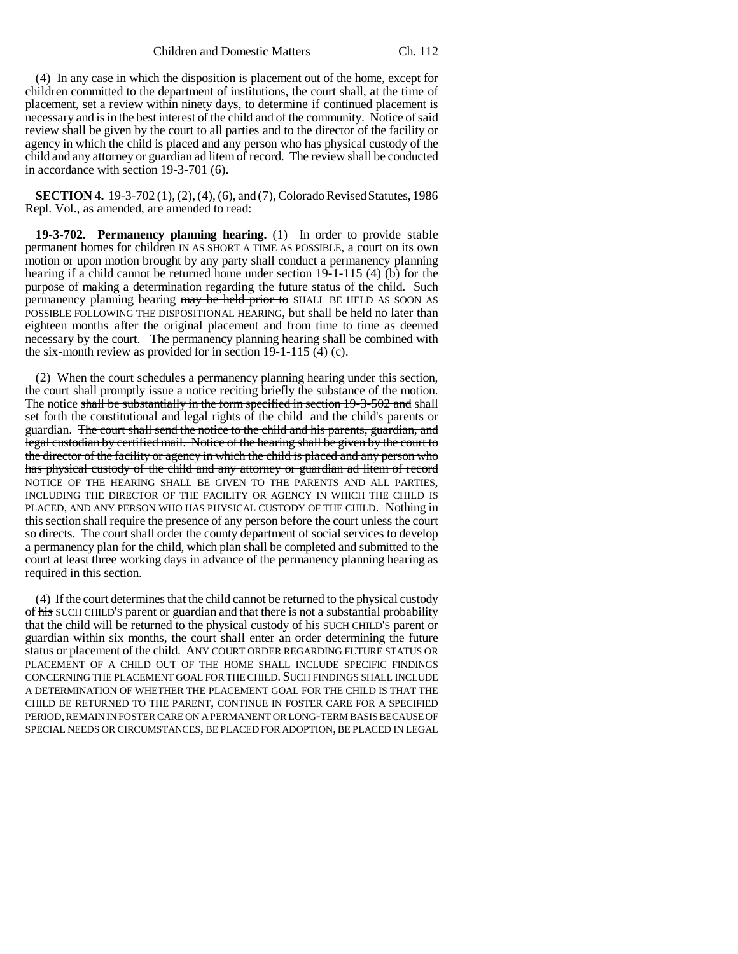## Children and Domestic Matters Ch. 112

(4) In any case in which the disposition is placement out of the home, except for children committed to the department of institutions, the court shall, at the time of placement, set a review within ninety days, to determine if continued placement is necessary and is in the best interest of the child and of the community. Notice of said review shall be given by the court to all parties and to the director of the facility or agency in which the child is placed and any person who has physical custody of the child and any attorney or guardian ad litem of record. The review shall be conducted in accordance with section 19-3-701 (6).

**SECTION 4.** 19-3-702 (1), (2), (4), (6), and (7), Colorado Revised Statutes, 1986 Repl. Vol., as amended, are amended to read:

**19-3-702. Permanency planning hearing.** (1) In order to provide stable permanent homes for children IN AS SHORT A TIME AS POSSIBLE, a court on its own motion or upon motion brought by any party shall conduct a permanency planning hearing if a child cannot be returned home under section 19-1-115 (4) (b) for the purpose of making a determination regarding the future status of the child. Such permanency planning hearing may be held prior to SHALL BE HELD AS SOON AS POSSIBLE FOLLOWING THE DISPOSITIONAL HEARING, but shall be held no later than eighteen months after the original placement and from time to time as deemed necessary by the court. The permanency planning hearing shall be combined with the six-month review as provided for in section 19-1-115 (4) (c).

(2) When the court schedules a permanency planning hearing under this section, the court shall promptly issue a notice reciting briefly the substance of the motion. The notice shall be substantially in the form specified in section 19-3-502 and shall set forth the constitutional and legal rights of the child and the child's parents or guardian. The court shall send the notice to the child and his parents, guardian, and legal custodian by certified mail. Notice of the hearing shall be given by the court to the director of the facility or agency in which the child is placed and any person who has physical custody of the child and any attorney or guardian ad litem of record NOTICE OF THE HEARING SHALL BE GIVEN TO THE PARENTS AND ALL PARTIES, INCLUDING THE DIRECTOR OF THE FACILITY OR AGENCY IN WHICH THE CHILD IS PLACED, AND ANY PERSON WHO HAS PHYSICAL CUSTODY OF THE CHILD. Nothing in this section shall require the presence of any person before the court unless the court so directs. The court shall order the county department of social services to develop a permanency plan for the child, which plan shall be completed and submitted to the court at least three working days in advance of the permanency planning hearing as required in this section.

(4) If the court determines that the child cannot be returned to the physical custody of his SUCH CHILD'S parent or guardian and that there is not a substantial probability that the child will be returned to the physical custody of his SUCH CHILD'S parent or guardian within six months, the court shall enter an order determining the future status or placement of the child. ANY COURT ORDER REGARDING FUTURE STATUS OR PLACEMENT OF A CHILD OUT OF THE HOME SHALL INCLUDE SPECIFIC FINDINGS CONCERNING THE PLACEMENT GOAL FOR THE CHILD. SUCH FINDINGS SHALL INCLUDE A DETERMINATION OF WHETHER THE PLACEMENT GOAL FOR THE CHILD IS THAT THE CHILD BE RETURNED TO THE PARENT, CONTINUE IN FOSTER CARE FOR A SPECIFIED PERIOD, REMAIN IN FOSTER CARE ON A PERMANENT OR LONG-TERM BASIS BECAUSE OF SPECIAL NEEDS OR CIRCUMSTANCES, BE PLACED FOR ADOPTION, BE PLACED IN LEGAL